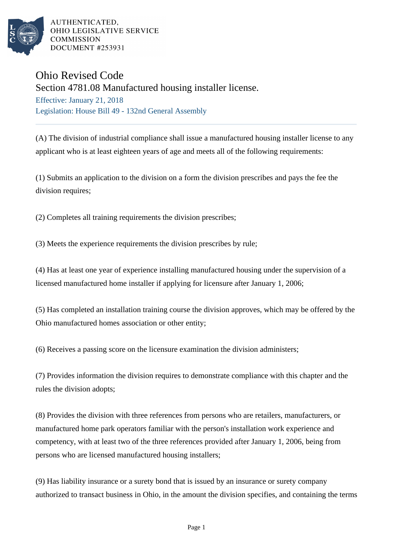

AUTHENTICATED. OHIO LEGISLATIVE SERVICE **COMMISSION DOCUMENT #253931** 

## Ohio Revised Code

Section 4781.08 Manufactured housing installer license.

Effective: January 21, 2018 Legislation: House Bill 49 - 132nd General Assembly

(A) The division of industrial compliance shall issue a manufactured housing installer license to any applicant who is at least eighteen years of age and meets all of the following requirements:

(1) Submits an application to the division on a form the division prescribes and pays the fee the division requires;

(2) Completes all training requirements the division prescribes;

(3) Meets the experience requirements the division prescribes by rule;

(4) Has at least one year of experience installing manufactured housing under the supervision of a licensed manufactured home installer if applying for licensure after January 1, 2006;

(5) Has completed an installation training course the division approves, which may be offered by the Ohio manufactured homes association or other entity;

(6) Receives a passing score on the licensure examination the division administers;

(7) Provides information the division requires to demonstrate compliance with this chapter and the rules the division adopts;

(8) Provides the division with three references from persons who are retailers, manufacturers, or manufactured home park operators familiar with the person's installation work experience and competency, with at least two of the three references provided after January 1, 2006, being from persons who are licensed manufactured housing installers;

(9) Has liability insurance or a surety bond that is issued by an insurance or surety company authorized to transact business in Ohio, in the amount the division specifies, and containing the terms